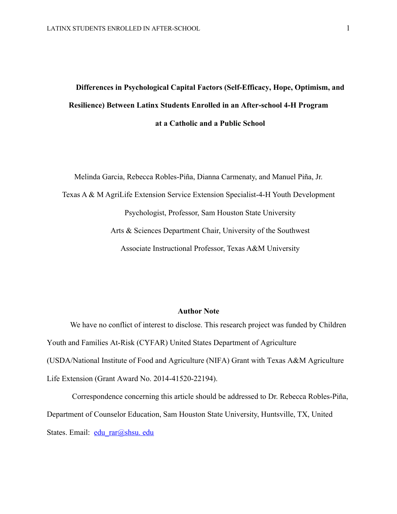# **Differences in Psychological Capital Factors (Self-Efficacy, Hope, Optimism, and Resilience) Between Latinx Students Enrolled in an After-school 4-H Program at a Catholic and a Public School**

Melinda Garcia, Rebecca Robles-Piña, Dianna Carmenaty, and Manuel Piña, Jr. Texas A & M AgriLife Extension Service Extension Specialist-4-H Youth Development Psychologist, Professor, Sam Houston State University Arts & Sciences Department Chair, University of the Southwest Associate Instructional Professor, Texas A&M University

## **Author Note**

We have no conflict of interest to disclose. This research project was funded by Children Youth and Families At-Risk (CYFAR) United States Department of Agriculture (USDA/National Institute of Food and Agriculture (NIFA) Grant with Texas A&M Agriculture Life Extension (Grant Award No. 2014-41520-22194).

Correspondence concerning this article should be addressed to Dr. Rebecca Robles-Piña, Department of Counselor Education, Sam Houston State University, Huntsville, TX, United States. Email: edu rar@shsu. edu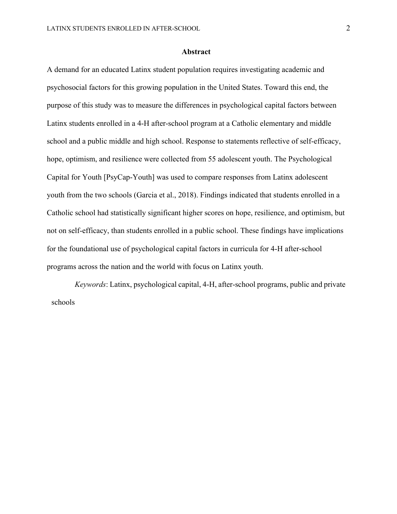#### **Abstract**

A demand for an educated Latinx student population requires investigating academic and psychosocial factors for this growing population in the United States. Toward this end, the purpose of this study was to measure the differences in psychological capital factors between Latinx students enrolled in a 4-H after-school program at a Catholic elementary and middle school and a public middle and high school. Response to statements reflective of self-efficacy, hope, optimism, and resilience were collected from 55 adolescent youth. The Psychological Capital for Youth [PsyCap-Youth] was used to compare responses from Latinx adolescent youth from the two schools (Garcia et al., 2018). Findings indicated that students enrolled in a Catholic school had statistically significant higher scores on hope, resilience, and optimism, but not on self-efficacy, than students enrolled in a public school. These findings have implications for the foundational use of psychological capital factors in curricula for 4-H after-school programs across the nation and the world with focus on Latinx youth.

*Keywords*: Latinx, psychological capital, 4-H, after-school programs, public and private schools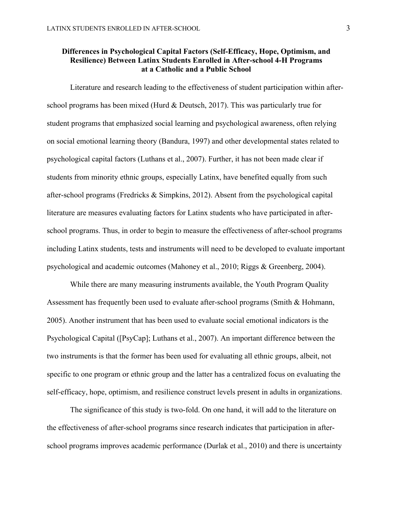## **Differences in Psychological Capital Factors (Self-Efficacy, Hope, Optimism, and Resilience) Between Latinx Students Enrolled in After-school 4-H Programs at a Catholic and a Public School**

Literature and research leading to the effectiveness of student participation within afterschool programs has been mixed (Hurd & Deutsch, 2017). This was particularly true for student programs that emphasized social learning and psychological awareness, often relying on social emotional learning theory (Bandura, 1997) and other developmental states related to psychological capital factors (Luthans et al., 2007). Further, it has not been made clear if students from minority ethnic groups, especially Latinx, have benefited equally from such after-school programs (Fredricks & Simpkins, 2012). Absent from the psychological capital literature are measures evaluating factors for Latinx students who have participated in afterschool programs. Thus, in order to begin to measure the effectiveness of after-school programs including Latinx students, tests and instruments will need to be developed to evaluate important psychological and academic outcomes (Mahoney et al., 2010; Riggs & Greenberg, 2004).

While there are many measuring instruments available, the Youth Program Quality Assessment has frequently been used to evaluate after-school programs (Smith & Hohmann, 2005). Another instrument that has been used to evaluate social emotional indicators is the Psychological Capital ([PsyCap]; Luthans et al., 2007). An important difference between the two instruments is that the former has been used for evaluating all ethnic groups, albeit, not specific to one program or ethnic group and the latter has a centralized focus on evaluating the self-efficacy, hope, optimism, and resilience construct levels present in adults in organizations.

The significance of this study is two-fold. On one hand, it will add to the literature on the effectiveness of after-school programs since research indicates that participation in afterschool programs improves academic performance (Durlak et al., 2010) and there is uncertainty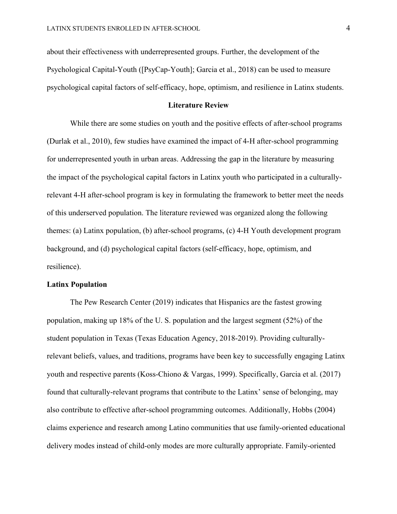about their effectiveness with underrepresented groups. Further, the development of the Psychological Capital-Youth ([PsyCap-Youth]; Garcia et al., 2018) can be used to measure psychological capital factors of self-efficacy, hope, optimism, and resilience in Latinx students.

#### **Literature Review**

While there are some studies on youth and the positive effects of after-school programs (Durlak et al., 2010), few studies have examined the impact of 4-H after-school programming for underrepresented youth in urban areas. Addressing the gap in the literature by measuring the impact of the psychological capital factors in Latinx youth who participated in a culturallyrelevant 4-H after-school program is key in formulating the framework to better meet the needs of this underserved population. The literature reviewed was organized along the following themes: (a) Latinx population, (b) after-school programs, (c) 4-H Youth development program background, and (d) psychological capital factors (self-efficacy, hope, optimism, and resilience).

## **Latinx Population**

The Pew Research Center (2019) indicates that Hispanics are the fastest growing population, making up 18% of the U. S. population and the largest segment (52%) of the student population in Texas (Texas Education Agency, 2018-2019). Providing culturallyrelevant beliefs, values, and traditions, programs have been key to successfully engaging Latinx youth and respective parents (Koss-Chiono & Vargas, 1999). Specifically, Garcia et al. (2017) found that culturally-relevant programs that contribute to the Latinx' sense of belonging, may also contribute to effective after-school programming outcomes. Additionally, Hobbs (2004) claims experience and research among Latino communities that use family-oriented educational delivery modes instead of child-only modes are more culturally appropriate. Family-oriented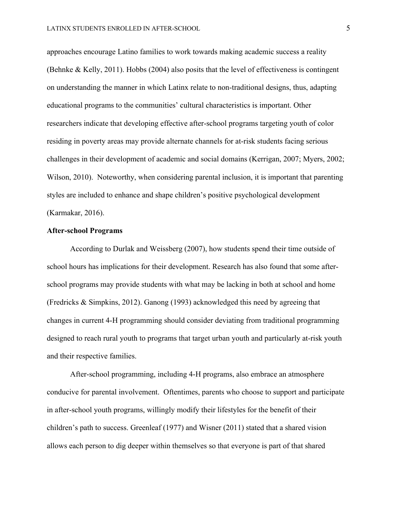approaches encourage Latino families to work towards making academic success a reality (Behnke & Kelly, 2011). Hobbs (2004) also posits that the level of effectiveness is contingent on understanding the manner in which Latinx relate to non-traditional designs, thus, adapting educational programs to the communities' cultural characteristics is important. Other researchers indicate that developing effective after-school programs targeting youth of color residing in poverty areas may provide alternate channels for at-risk students facing serious challenges in their development of academic and social domains (Kerrigan, 2007; Myers, 2002; Wilson, 2010). Noteworthy, when considering parental inclusion, it is important that parenting styles are included to enhance and shape children's positive psychological development (Karmakar, 2016).

## **After-school Programs**

According to Durlak and Weissberg (2007), how students spend their time outside of school hours has implications for their development. Research has also found that some afterschool programs may provide students with what may be lacking in both at school and home (Fredricks & Simpkins, 2012). Ganong (1993) acknowledged this need by agreeing that changes in current 4-H programming should consider deviating from traditional programming designed to reach rural youth to programs that target urban youth and particularly at-risk youth and their respective families.

After-school programming, including 4-H programs, also embrace an atmosphere conducive for parental involvement. Oftentimes, parents who choose to support and participate in after-school youth programs, willingly modify their lifestyles for the benefit of their children's path to success. Greenleaf (1977) and Wisner (2011) stated that a shared vision allows each person to dig deeper within themselves so that everyone is part of that shared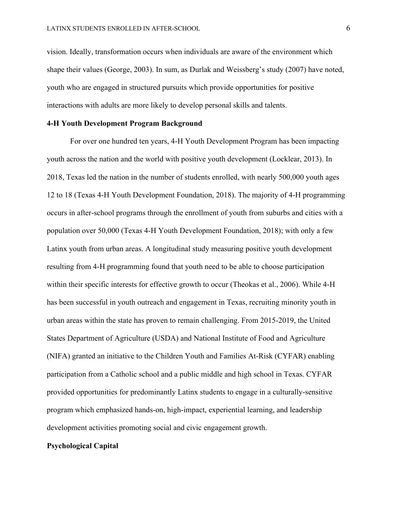vision. Ideally, transformation occurs when individuals are aware of the environment which shape their values (George, 2003). In sum, as Durlak and Weissberg's study (2007) have noted, youth who are engaged in structured pursuits which provide opportunities for positive interactions with adults are more likely to develop personal skills and talents.

## **4-H Youth Development Program Background**

For over one hundred ten years, 4-H Youth Development Program has been impacting youth across the nation and the world with positive youth development (Locklear, 2013). In 2018, Texas led the nation in the number of students enrolled, with nearly 500,000 youth ages 12 to 18 (Texas 4-H Youth Development Foundation, 2018). The majority of 4-H programming occurs in after-school programs through the enrollment of youth from suburbs and cities with a population over 50,000 (Texas 4-H Youth Development Foundation, 2018); with only a few Latinx youth from urban areas. A longitudinal study measuring positive youth development resulting from 4-H programming found that youth need to be able to choose participation within their specific interests for effective growth to occur (Theokas et al., 2006). While 4-H has been successful in youth outreach and engagement in Texas, recruiting minority youth in urban areas within the state has proven to remain challenging. From 2015-2019, the United States Department of Agriculture (USDA) and National Institute of Food and Agriculture (NIFA) granted an initiative to the Children Youth and Families At-Risk (CYFAR) enabling participation from a Catholic school and a public middle and high school in Texas. CYFAR provided opportunities for predominantly Latinx students to engage in a culturally-sensitive program which emphasized hands-on, high-impact, experiential learning, and leadership development activities promoting social and civic engagement growth.

#### **Psychological Capital**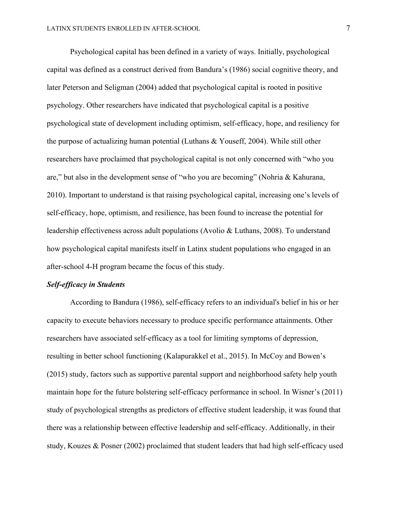Psychological capital has been defined in a variety of ways. Initially, psychological capital was defined as a construct derived from Bandura's (1986) social cognitive theory, and later Peterson and Seligman (2004) added that psychological capital is rooted in positive psychology. Other researchers have indicated that psychological capital is a positive psychological state of development including optimism, self-efficacy, hope, and resiliency for the purpose of actualizing human potential (Luthans & Youseff, 2004). While still other researchers have proclaimed that psychological capital is not only concerned with "who you are," but also in the development sense of "who you are becoming" (Nohria & Kahurana, 2010). Important to understand is that raising psychological capital, increasing one's levels of self-efficacy, hope, optimism, and resilience, has been found to increase the potential for leadership effectiveness across adult populations (Avolio & Luthans, 2008). To understand how psychological capital manifests itself in Latinx student populations who engaged in an after-school 4-H program became the focus of this study.

## *Self-efficacy in Students*

According to Bandura (1986), self-efficacy refers to an individual's belief in his or her capacity to execute behaviors necessary to produce specific performance attainments. Other researchers have associated self-efficacy as a tool for limiting symptoms of depression, resulting in better school functioning (Kalapurakkel et al., 2015). In McCoy and Bowen's (2015) study, factors such as supportive parental support and neighborhood safety help youth maintain hope for the future bolstering self-efficacy performance in school. In Wisner's (2011) study of psychological strengths as predictors of effective student leadership, it was found that there was a relationship between effective leadership and self-efficacy. Additionally, in their study, Kouzes & Posner (2002) proclaimed that student leaders that had high self-efficacy used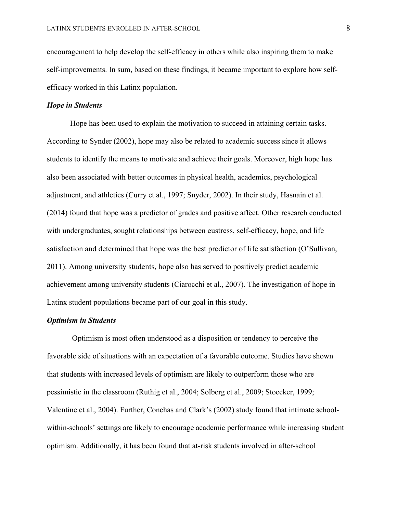encouragement to help develop the self-efficacy in others while also inspiring them to make self-improvements. In sum, based on these findings, it became important to explore how selfefficacy worked in this Latinx population.

## *Hope in Students*

Hope has been used to explain the motivation to succeed in attaining certain tasks. According to Synder (2002), hope may also be related to academic success since it allows students to identify the means to motivate and achieve their goals. Moreover, high hope has also been associated with better outcomes in physical health, academics, psychological adjustment, and athletics (Curry et al., 1997; Snyder, 2002). In their study, Hasnain et al. (2014) found that hope was a predictor of grades and positive affect. Other research conducted with undergraduates, sought relationships between eustress, self-efficacy, hope, and life satisfaction and determined that hope was the best predictor of life satisfaction (O'Sullivan, 2011). Among university students, hope also has served to positively predict academic achievement among university students (Ciarocchi et al., 2007). The investigation of hope in Latinx student populations became part of our goal in this study.

## *Optimism in Students*

Optimism is most often understood as a disposition or tendency to perceive the favorable side of situations with an expectation of a favorable outcome. Studies have shown that students with increased levels of optimism are likely to outperform those who are pessimistic in the classroom (Ruthig et al., 2004; Solberg et al., 2009; Stoecker, 1999; Valentine et al., 2004). Further, Conchas and Clark's (2002) study found that intimate schoolwithin-schools' settings are likely to encourage academic performance while increasing student optimism. Additionally, it has been found that at-risk students involved in after-school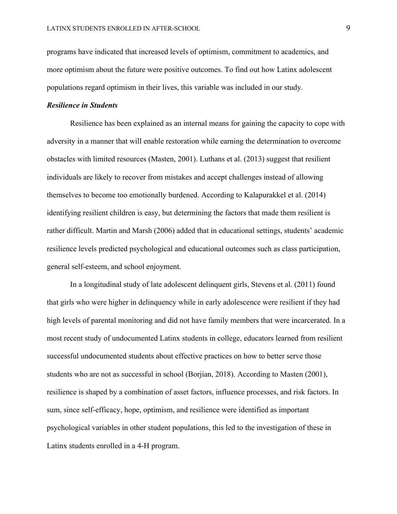programs have indicated that increased levels of optimism, commitment to academics, and more optimism about the future were positive outcomes. To find out how Latinx adolescent populations regard optimism in their lives, this variable was included in our study.

## *Resilience in Students*

Resilience has been explained as an internal means for gaining the capacity to cope with adversity in a manner that will enable restoration while earning the determination to overcome obstacles with limited resources (Masten, 2001). Luthans et al. (2013) suggest that resilient individuals are likely to recover from mistakes and accept challenges instead of allowing themselves to become too emotionally burdened. According to Kalapurakkel et al. (2014) identifying resilient children is easy, but determining the factors that made them resilient is rather difficult. Martin and Marsh (2006) added that in educational settings, students' academic resilience levels predicted psychological and educational outcomes such as class participation, general self-esteem, and school enjoyment.

In a longitudinal study of late adolescent delinquent girls, Stevens et al. (2011) found that girls who were higher in delinquency while in early adolescence were resilient if they had high levels of parental monitoring and did not have family members that were incarcerated. In a most recent study of undocumented Latinx students in college, educators learned from resilient successful undocumented students about effective practices on how to better serve those students who are not as successful in school (Borjian, 2018). According to Masten (2001), resilience is shaped by a combination of asset factors, influence processes, and risk factors. In sum, since self-efficacy, hope, optimism, and resilience were identified as important psychological variables in other student populations, this led to the investigation of these in Latinx students enrolled in a 4-H program.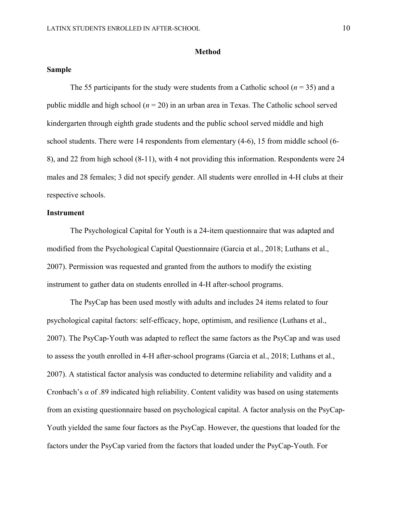#### **Method**

## **Sample**

The 55 participants for the study were students from a Catholic school  $(n = 35)$  and a public middle and high school ( $n = 20$ ) in an urban area in Texas. The Catholic school served kindergarten through eighth grade students and the public school served middle and high school students. There were 14 respondents from elementary (4-6), 15 from middle school (6- 8), and 22 from high school (8-11), with 4 not providing this information. Respondents were 24 males and 28 females; 3 did not specify gender. All students were enrolled in 4-H clubs at their respective schools.

## **Instrument**

The Psychological Capital for Youth is a 24-item questionnaire that was adapted and modified from the Psychological Capital Questionnaire (Garcia et al., 2018; Luthans et al., 2007). Permission was requested and granted from the authors to modify the existing instrument to gather data on students enrolled in 4-H after-school programs.

The PsyCap has been used mostly with adults and includes 24 items related to four psychological capital factors: self-efficacy, hope, optimism, and resilience (Luthans et al., 2007). The PsyCap-Youth was adapted to reflect the same factors as the PsyCap and was used to assess the youth enrolled in 4-H after-school programs (Garcia et al., 2018; Luthans et al., 2007). A statistical factor analysis was conducted to determine reliability and validity and a Cronbach's *α* of .89 indicated high reliability. Content validity was based on using statements from an existing questionnaire based on psychological capital. A factor analysis on the PsyCap-Youth yielded the same four factors as the PsyCap. However, the questions that loaded for the factors under the PsyCap varied from the factors that loaded under the PsyCap-Youth. For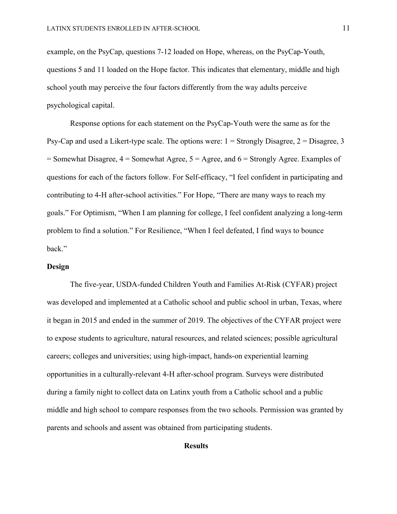example, on the PsyCap, questions 7-12 loaded on Hope, whereas, on the PsyCap-Youth, questions 5 and 11 loaded on the Hope factor. This indicates that elementary, middle and high school youth may perceive the four factors differently from the way adults perceive psychological capital.

Response options for each statement on the PsyCap-Youth were the same as for the Psy-Cap and used a Likert-type scale. The options were:  $1 =$  Strongly Disagree,  $2 =$  Disagree, 3  $=$  Somewhat Disagree,  $4 =$  Somewhat Agree,  $5 =$  Agree, and  $6 =$  Strongly Agree. Examples of questions for each of the factors follow. For Self-efficacy, "I feel confident in participating and contributing to 4-H after-school activities." For Hope, "There are many ways to reach my goals." For Optimism, "When I am planning for college, I feel confident analyzing a long-term problem to find a solution." For Resilience, "When I feel defeated, I find ways to bounce back."

## **Design**

The five-year, USDA-funded Children Youth and Families At-Risk (CYFAR) project was developed and implemented at a Catholic school and public school in urban, Texas, where it began in 2015 and ended in the summer of 2019. The objectives of the CYFAR project were to expose students to agriculture, natural resources, and related sciences; possible agricultural careers; colleges and universities; using high-impact, hands-on experiential learning opportunities in a culturally-relevant 4-H after-school program. Surveys were distributed during a family night to collect data on Latinx youth from a Catholic school and a public middle and high school to compare responses from the two schools. Permission was granted by parents and schools and assent was obtained from participating students.

## **Results**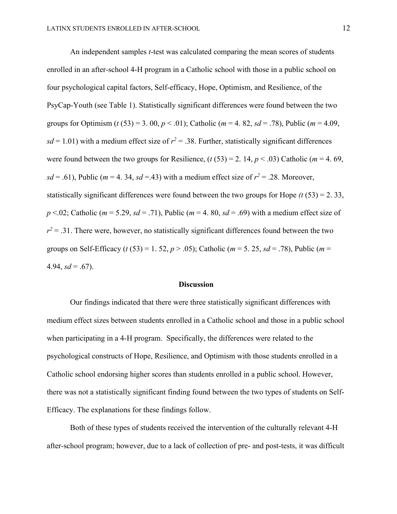An independent samples *t*-test was calculated comparing the mean scores of students enrolled in an after-school 4-H program in a Catholic school with those in a public school on four psychological capital factors, Self-efficacy, Hope, Optimism, and Resilience, of the PsyCap-Youth (see Table 1). Statistically significant differences were found between the two groups for Optimism ( $t$  (53) = 3. 00,  $p < .01$ ); Catholic ( $m = 4.82$ ,  $sd = .78$ ), Public ( $m = 4.09$ ,  $sd = 1.01$ ) with a medium effect size of  $r^2 = .38$ . Further, statistically significant differences were found between the two groups for Resilience,  $(t (53) = 2, 14, p < .03)$  Catholic ( $m = 4, 69$ ,  $sd = .61$ ), Public (*m* = 4. 34, *sd* = .43) with a medium effect size of  $r^2 = .28$ . Moreover, statistically significant differences were found between the two groups for Hope  $(t (53) = 2, 33,$  $p \le 0.02$ ; Catholic (*m* = 5.29, *sd* = .71), Public (*m* = 4.80, *sd* = .69) with a medium effect size of  $r^2$  = .31. There were, however, no statistically significant differences found between the two groups on Self-Efficacy (*t* (53) = 1. 52, *p* > .05); Catholic ( $m = 5$ . 25,  $sd = .78$ ), Public ( $m =$ 4.94,  $sd = .67$ ).

#### **Discussion**

Our findings indicated that there were three statistically significant differences with medium effect sizes between students enrolled in a Catholic school and those in a public school when participating in a 4-H program. Specifically, the differences were related to the psychological constructs of Hope, Resilience, and Optimism with those students enrolled in a Catholic school endorsing higher scores than students enrolled in a public school. However, there was not a statistically significant finding found between the two types of students on Self-Efficacy. The explanations for these findings follow.

Both of these types of students received the intervention of the culturally relevant 4-H after-school program; however, due to a lack of collection of pre- and post-tests, it was difficult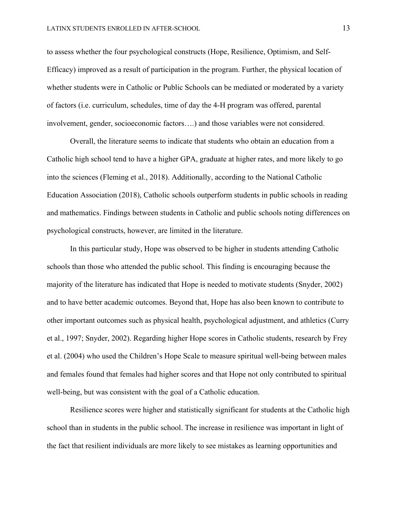to assess whether the four psychological constructs (Hope, Resilience, Optimism, and Self-Efficacy) improved as a result of participation in the program. Further, the physical location of whether students were in Catholic or Public Schools can be mediated or moderated by a variety of factors (i.e. curriculum, schedules, time of day the 4-H program was offered, parental involvement, gender, socioeconomic factors….) and those variables were not considered.

Overall, the literature seems to indicate that students who obtain an education from a Catholic high school tend to have a higher GPA, graduate at higher rates, and more likely to go into the sciences (Fleming et al., 2018). Additionally, according to the National Catholic Education Association (2018), Catholic schools outperform students in public schools in reading and mathematics. Findings between students in Catholic and public schools noting differences on psychological constructs, however, are limited in the literature.

In this particular study, Hope was observed to be higher in students attending Catholic schools than those who attended the public school. This finding is encouraging because the majority of the literature has indicated that Hope is needed to motivate students (Snyder, 2002) and to have better academic outcomes. Beyond that, Hope has also been known to contribute to other important outcomes such as physical health, psychological adjustment, and athletics (Curry et al., 1997; Snyder, 2002). Regarding higher Hope scores in Catholic students, research by Frey et al. (2004) who used the Children's Hope Scale to measure spiritual well-being between males and females found that females had higher scores and that Hope not only contributed to spiritual well-being, but was consistent with the goal of a Catholic education.

Resilience scores were higher and statistically significant for students at the Catholic high school than in students in the public school. The increase in resilience was important in light of the fact that resilient individuals are more likely to see mistakes as learning opportunities and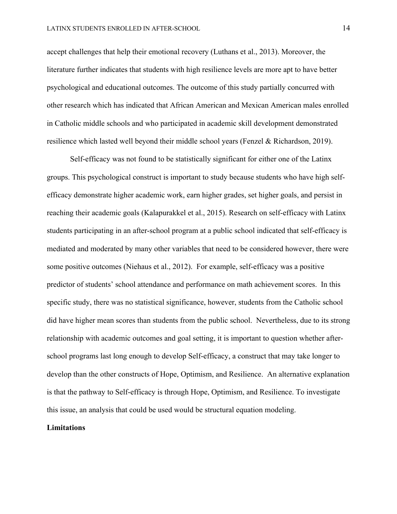accept challenges that help their emotional recovery (Luthans et al., 2013). Moreover, the literature further indicates that students with high resilience levels are more apt to have better psychological and educational outcomes. The outcome of this study partially concurred with other research which has indicated that African American and Mexican American males enrolled in Catholic middle schools and who participated in academic skill development demonstrated resilience which lasted well beyond their middle school years (Fenzel & Richardson, 2019).

Self-efficacy was not found to be statistically significant for either one of the Latinx groups. This psychological construct is important to study because students who have high selfefficacy demonstrate higher academic work, earn higher grades, set higher goals, and persist in reaching their academic goals (Kalapurakkel et al., 2015). Research on self-efficacy with Latinx students participating in an after-school program at a public school indicated that self-efficacy is mediated and moderated by many other variables that need to be considered however, there were some positive outcomes (Niehaus et al., 2012). For example, self-efficacy was a positive predictor of students' school attendance and performance on math achievement scores. In this specific study, there was no statistical significance, however, students from the Catholic school did have higher mean scores than students from the public school. Nevertheless, due to its strong relationship with academic outcomes and goal setting, it is important to question whether afterschool programs last long enough to develop Self-efficacy, a construct that may take longer to develop than the other constructs of Hope, Optimism, and Resilience. An alternative explanation is that the pathway to Self-efficacy is through Hope, Optimism, and Resilience. To investigate this issue, an analysis that could be used would be structural equation modeling.

#### **Limitations**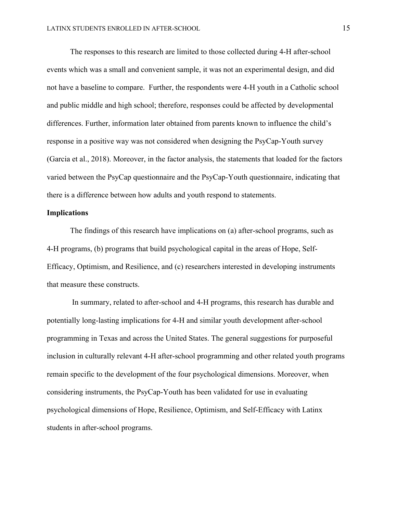The responses to this research are limited to those collected during 4-H after-school events which was a small and convenient sample, it was not an experimental design, and did not have a baseline to compare. Further, the respondents were 4-H youth in a Catholic school and public middle and high school; therefore, responses could be affected by developmental differences. Further, information later obtained from parents known to influence the child's response in a positive way was not considered when designing the PsyCap-Youth survey (Garcia et al., 2018). Moreover, in the factor analysis, the statements that loaded for the factors varied between the PsyCap questionnaire and the PsyCap-Youth questionnaire, indicating that there is a difference between how adults and youth respond to statements.

## **Implications**

The findings of this research have implications on (a) after-school programs, such as 4-H programs, (b) programs that build psychological capital in the areas of Hope, Self-Efficacy, Optimism, and Resilience, and (c) researchers interested in developing instruments that measure these constructs.

In summary, related to after-school and 4-H programs, this research has durable and potentially long-lasting implications for 4-H and similar youth development after-school programming in Texas and across the United States. The general suggestions for purposeful inclusion in culturally relevant 4-H after-school programming and other related youth programs remain specific to the development of the four psychological dimensions. Moreover, when considering instruments, the PsyCap-Youth has been validated for use in evaluating psychological dimensions of Hope, Resilience, Optimism, and Self-Efficacy with Latinx students in after-school programs.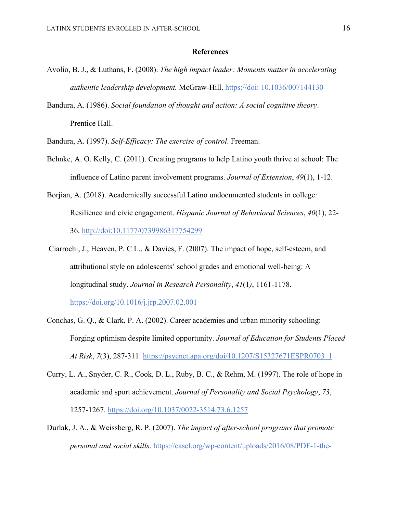## **References**

- Avolio, B. J., & Luthans, F. (2008). *The high impact leader: Moments matter in accelerating authentic leadership development.* McGraw-Hill. https://doi: 10.1036/007144130
- Bandura, A. (1986). *Social foundation of thought and action: A social cognitive theory*. Prentice Hall.
- Bandura, A. (1997). *Self-Efficacy: The exercise of control*. Freeman.
- Behnke, A. O. Kelly, C. (2011). Creating programs to help Latino youth thrive at school: The influence of Latino parent involvement programs. *Journal of Extension*, *49*(1), 1-12.
- Borjian, A. (2018). Academically successful Latino undocumented students in college: Resilience and civic engagement. *Hispanic Journal of Behavioral Sciences*, *40*(1), 22- 36. http://doi:10.1177/0739986317754299
- Ciarrochi, J., Heaven, P. C L., & Davies, F. (2007). The impact of hope, self-esteem, and attributional style on adolescents' school grades and emotional well-being: A longitudinal study. *Journal in Research Personality*, *41*(1*)*, 1161-1178. https://doi.org/10.1016/j.jrp.2007.02.001
- Conchas, G. Q., & Clark, P. A. (2002). Career academies and urban minority schooling: Forging optimism despite limited opportunity. *Journal of Education for Students Placed At Risk*, *7*(3), 287-311. https://psycnet.apa.org/doi/10.1207/S15327671ESPR0703\_1
- Curry, L. A., Snyder, C. R., Cook, D. L., Ruby, B. C., & Rehm, M. (1997). The role of hope in academic and sport achievement. *Journal of Personality and Social Psychology*, *73*, 1257-1267. https://doi.org/10.1037/0022-3514.73.6.1257
- Durlak, J. A., & Weissberg, R. P. (2007). *The impact of after-school programs that promote personal and social skills*. https://casel.org/wp-content/uploads/2016/08/PDF-1-the-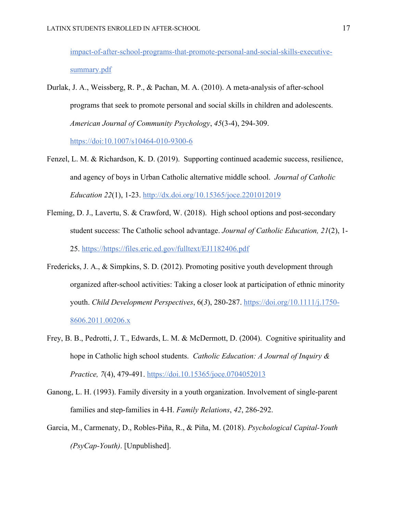impact-of-after-school-programs-that-promote-personal-and-social-skills-executivesummary.pdf

- Durlak, J. A., Weissberg, R. P., & Pachan, M. A. (2010). A meta-analysis of after-school programs that seek to promote personal and social skills in children and adolescents. *American Journal of Community Psychology*, *45*(3-4), 294-309. https://doi:10.1007/s10464-010-9300-6
- Fenzel, L. M. & Richardson, K. D. (2019). Supporting continued academic success, resilience, and agency of boys in Urban Catholic alternative middle school. *Journal of Catholic Education 22*(1), 1-23. http://dx.doi.org/10.15365/joce.2201012019
- Fleming, D. J., Lavertu, S. & Crawford, W. (2018). High school options and post-secondary student success: The Catholic school advantage. *Journal of Catholic Education, 21*(2), 1- 25. https://https://files.eric.ed.gov/fulltext/EJ1182406.pdf
- Fredericks, J. A., & Simpkins, S. D. (2012). Promoting positive youth development through organized after-school activities: Taking a closer look at participation of ethnic minority youth. *Child Development Perspectives*, 6(*3*), 280-287. https://doi.org/10.1111/j.1750- 8606.2011.00206.x
- Frey, B. B., Pedrotti, J. T., Edwards, L. M. & McDermott, D. (2004). Cognitive spirituality and hope in Catholic high school students. *Catholic Education: A Journal of Inquiry & Practice, 7*(4), 479-491. https://doi.10.15365/joce.0704052013
- Ganong, L. H. (1993). Family diversity in a youth organization. Involvement of single-parent families and step-families in 4-H. *Family Relations*, *42*, 286-292.
- Garcia, M., Carmenaty, D., Robles-Piña, R., & Piña, M. (2018). *Psychological Capital-Youth (PsyCap-Youth)*. [Unpublished].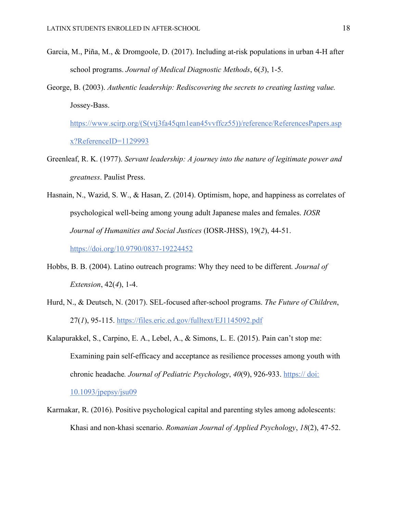- Garcia, M., Piña, M., & Dromgoole, D. (2017). Including at-risk populations in urban 4-H after school programs. *Journal of Medical Diagnostic Methods*, 6(*3*), 1-5.
- George, B. (2003). *Authentic leadership: Rediscovering the secrets to creating lasting value.* Jossey-Bass.

https://www.scirp.org/(S(vtj3fa45qm1ean45vvffcz55))/reference/ReferencesPapers.asp x?ReferenceID=1129993

- Greenleaf, R. K. (1977). *Servant leadership: A journey into the nature of legitimate power and greatness*. Paulist Press.
- Hasnain, N., Wazid, S. W., & Hasan, Z. (2014). Optimism, hope, and happiness as correlates of psychological well-being among young adult Japanese males and females. *IOSR Journal of Humanities and Social Justices* (IOSR-JHSS), 19(*2*), 44-51.

https://doi.org/10.9790/0837-19224452

- Hobbs, B. B. (2004). Latino outreach programs: Why they need to be different*. Journal of Extension*, 42(*4*), 1-4.
- Hurd, N., & Deutsch, N. (2017). SEL-focused after-school programs. *The Future of Children*, 27(*1*), 95-115. https://files.eric.ed.gov/fulltext/EJ1145092.pdf
- Kalapurakkel, S., Carpino, E. A., Lebel, A., & Simons, L. E. (2015). Pain can't stop me: Examining pain self-efficacy and acceptance as resilience processes among youth with chronic headache. Journal of Pediatric Psychology, 40(9), 926-933. https:// doi: 10.1093/jpepsy/jsu09
- Karmakar, R. (2016). Positive psychological capital and parenting styles among adolescents: Khasi and non-khasi scenario. *Romanian Journal of Applied Psychology*, *18*(2), 47-52.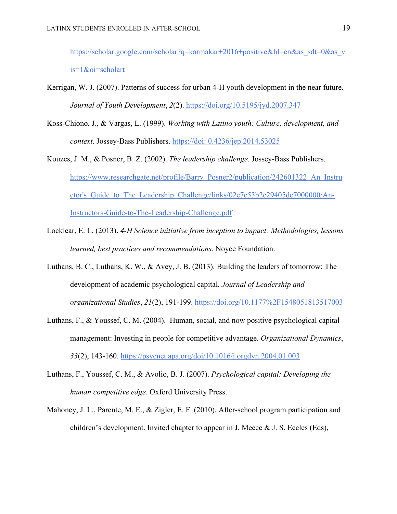https://scholar.google.com/scholar?q=karmakar+2016+positive&hl=en&as\_sdt=0&as\_v is=1&oi=scholart

- Kerrigan, W. J. (2007). Patterns of success for urban 4-H youth development in the near future. *Journal of Youth Development*, *2*(2). https://doi.org/10.5195/jyd.2007.347
- Koss-Chiono, J., & Vargas, L. (1999). *Working with Latino youth: Culture, development, and context*. Jossey-Bass Publishers. https://doi: 0.4236/jep.2014.53025
- Kouzes, J. M., & Posner, B. Z. (2002). *The leadership challenge*. Jossey-Bass Publishers. https://www.researchgate.net/profile/Barry\_Posner2/publication/242601322\_An\_Instru ctor's Guide to The Leadership Challenge/links/02e7e53b2e29405de7000000/An-Instructors-Guide-to-The-Leadership-Challenge.pdf
- Locklear, E. L. (2013). *4-H Science initiative from inception to impact: Methodologies, lessons learned, best practices and recommendations*. Noyce Foundation.
- Luthans, B. C., Luthans, K. W., & Avey, J. B. (2013). Building the leaders of tomorrow: The development of academic psychological capital*. Journal of Leadership and organizational Studies*, *21*(2), 191-199. https://doi.org/10.1177%2F1548051813517003
- Luthans, F., & Youssef, C. M. (2004). Human, social, and now positive psychological capital management: Investing in people for competitive advantage. *Organizational Dynamics*, *33*(2), 143-160. https://psycnet.apa.org/doi/10.1016/j.orgdyn.2004.01.003
- Luthans, F., Youssef, C. M., & Avolio, B. J. (2007). *Psychological capital: Developing the human competitive edge*. Oxford University Press.
- Mahoney, J. L., Parente, M. E., & Zigler, E. F. (2010). After-school program participation and children's development. Invited chapter to appear in J. Meece & J. S. Eccles (Eds),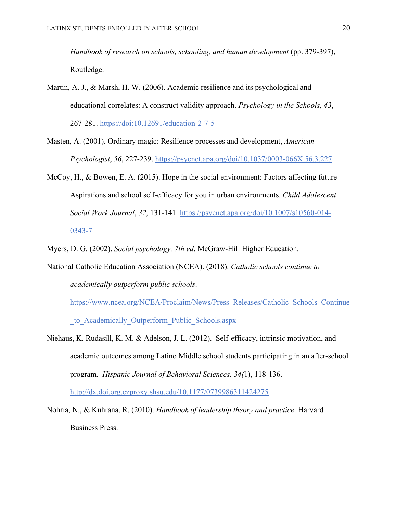*Handbook of research on schools, schooling, and human development* (pp. 379-397), Routledge.

- Martin, A. J., & Marsh, H. W. (2006). Academic resilience and its psychological and educational correlates: A construct validity approach. *Psychology in the Schools*, *43*, 267-281. https://doi:10.12691/education-2-7-5
- Masten, A. (2001). Ordinary magic: Resilience processes and development, *American Psychologist*, *56*, 227-239. https://psycnet.apa.org/doi/10.1037/0003-066X.56.3.227
- McCoy, H., & Bowen, E. A. (2015). Hope in the social environment: Factors affecting future Aspirations and school self-efficacy for you in urban environments. *Child Adolescent Social Work Journal*, *32*, 131-141. https://psycnet.apa.org/doi/10.1007/s10560-014- 0343-7
- Myers, D. G. (2002). *Social psychology, 7th ed*. McGraw-Hill Higher Education.
- National Catholic Education Association (NCEA). (2018). *Catholic schools continue to academically outperform public schools*.

https://www.ncea.org/NCEA/Proclaim/News/Press\_Releases/Catholic\_Schools\_Continue \_to\_Academically\_Outperform\_Public\_Schools.aspx

- Niehaus, K. Rudasill, K. M. & Adelson, J. L. (2012). Self-efficacy, intrinsic motivation, and academic outcomes among Latino Middle school students participating in an after-school program. *Hispanic Journal of Behavioral Sciences, 34(*1), 118-136. http://dx.doi.org.ezproxy.shsu.edu/10.1177/0739986311424275
- Nohria, N., & Kuhrana, R. (2010). *Handbook of leadership theory and practice*. Harvard Business Press.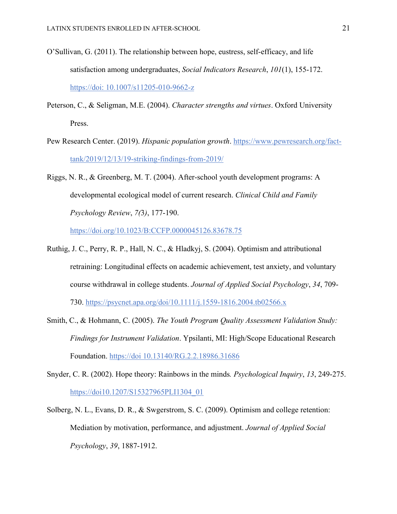- O'Sullivan, G. (2011). The relationship between hope, eustress, self-efficacy, and life satisfaction among undergraduates, *Social Indicators Research*, *101*(1), 155-172. https://doi: 10.1007/s11205-010-9662-z
- Peterson, C., & Seligman, M.E. (2004). *Character strengths and virtues*. Oxford University Press.
- Pew Research Center. (2019). *Hispanic population growth*. https://www.pewresearch.org/facttank/2019/12/13/19-striking-findings-from-2019/
- Riggs, N. R., & Greenberg, M. T. (2004). After-school youth development programs: A developmental ecological model of current research. *Clinical Child and Family Psychology Review*, *7(*3*)*, 177-190.

https://doi.org/10.1023/B:CCFP.0000045126.83678.75

- Ruthig, J. C., Perry, R. P., Hall, N. C., & Hladkyj, S. (2004). Optimism and attributional retraining: Longitudinal effects on academic achievement, test anxiety, and voluntary course withdrawal in college students. *Journal of Applied Social Psychology*, *34*, 709- 730. https://psycnet.apa.org/doi/10.1111/j.1559-1816.2004.tb02566.x
- Smith, C., & Hohmann, C. (2005). *The Youth Program Quality Assessment Validation Study: Findings for Instrument Validation*. Ypsilanti, MI: High/Scope Educational Research Foundation. https://doi 10.13140/RG.2.2.18986.31686
- Snyder, C. R. (2002). Hope theory: Rainbows in the minds*. Psychological Inquiry*, *13*, 249-275. https://doi10.1207/S15327965PLI1304\_01
- Solberg, N. L., Evans, D. R., & Swgerstrom, S. C. (2009). Optimism and college retention: Mediation by motivation, performance, and adjustment. *Journal of Applied Social Psychology*, *39*, 1887-1912.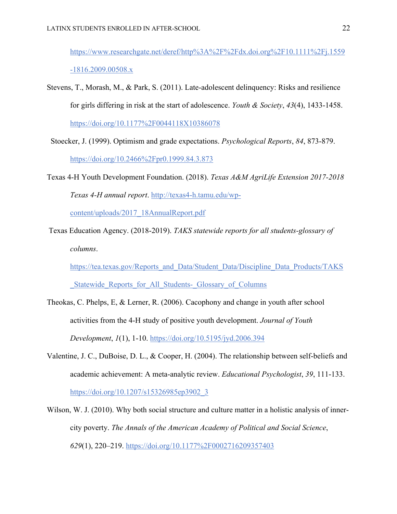https://www.researchgate.net/deref/http%3A%2F%2Fdx.doi.org%2F10.1111%2Fj.1559 -1816.2009.00508.x

Stevens, T., Morash, M., & Park, S. (2011). Late-adolescent delinquency: Risks and resilience for girls differing in risk at the start of adolescence. *Youth & Society*, *43*(4), 1433-1458. https://doi.org/10.1177%2F0044118X10386078

 Stoecker, J. (1999). Optimism and grade expectations. *Psychological Reports*, *84*, 873-879. https://doi.org/10.2466%2Fpr0.1999.84.3.873

Texas 4-H Youth Development Foundation. (2018). *Texas A&M AgriLife Extension 2017-2018 Texas 4-H annual report*. http://texas4-h.tamu.edu/wp-

content/uploads/2017\_18AnnualReport.pdf

Texas Education Agency. (2018-2019). *TAKS statewide reports for all students-glossary of columns*.

https://tea.texas.gov/Reports\_and\_Data/Student\_Data/Discipline\_Data\_Products/TAKS Statewide Reports for All Students- Glossary of Columns

- Theokas, C. Phelps, E, & Lerner, R. (2006). Cacophony and change in youth after school activities from the 4-H study of positive youth development. *Journal of Youth Development*, *1*(1), 1-10. https://doi.org/10.5195/jyd.2006.394
- Valentine, J. C., DuBoise, D. L., & Cooper, H. (2004). The relationship between self-beliefs and academic achievement: A meta-analytic review. *Educational Psychologist*, *39*, 111-133. https://doi.org/10.1207/s15326985ep3902\_3
- Wilson, W. J. (2010). Why both social structure and culture matter in a holistic analysis of innercity poverty. *The Annals of the American Academy of Political and Social Science*, *629*(1), 220–219. https://doi.org/10.1177%2F0002716209357403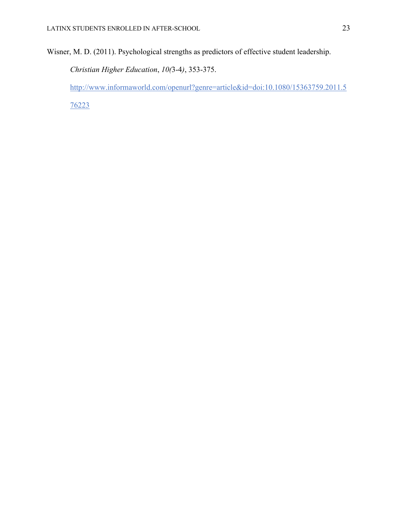Wisner, M. D. (2011). Psychological strengths as predictors of effective student leadership.

*Christian Higher Education*, *10(*3-4*)*, 353-375.

http://www.informaworld.com/openurl?genre=article&id=doi:10.1080/15363759.2011.5

76223